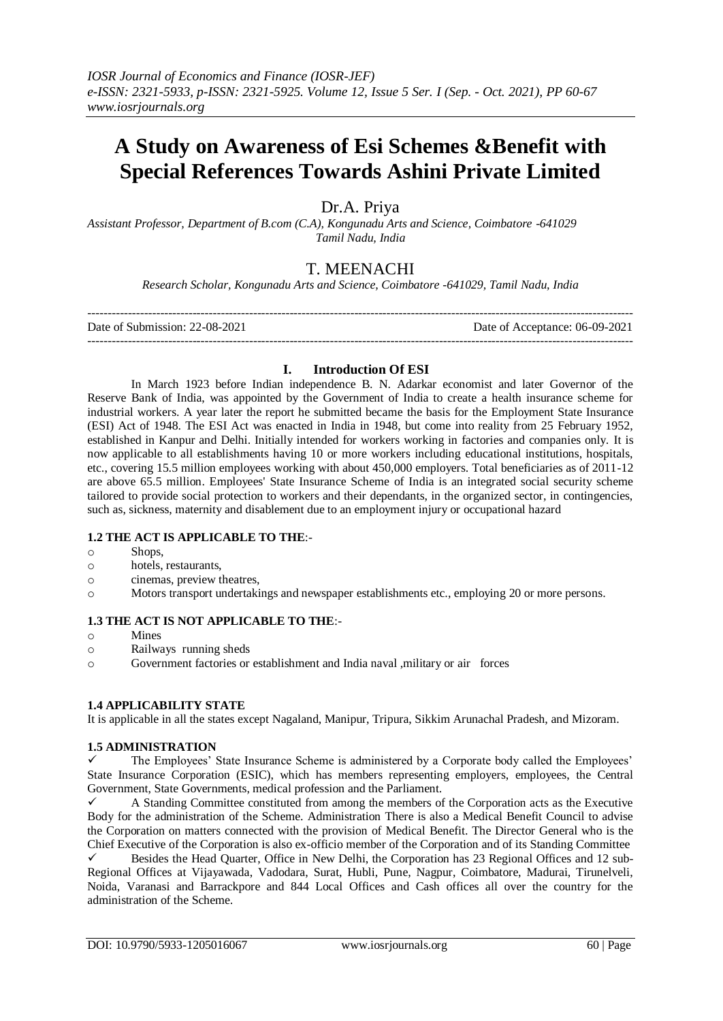# **A Study on Awareness of Esi Schemes &Benefit with Special References Towards Ashini Private Limited**

Dr.A. Priya

*Assistant Professor, Department of B.com (C.A), Kongunadu Arts and Science, Coimbatore -641029 Tamil Nadu, India*

# T. MEENACHI

*Research Scholar, Kongunadu Arts and Science, Coimbatore -641029, Tamil Nadu, India*

| Date of Submission: 22-08-2021 | Date of Acceptance: 06-09-2021 |
|--------------------------------|--------------------------------|
|                                |                                |

## **I. Introduction Of ESI**

In March 1923 before Indian independence B. N. Adarkar economist and later Governor of the Reserve Bank of India, was appointed by the Government of India to create a health insurance scheme for industrial workers. A year later the report he submitted became the basis for the Employment State Insurance (ESI) Act of 1948. The ESI Act was enacted in India in 1948, but come into reality from 25 February 1952, established in Kanpur and Delhi. Initially intended for workers working in factories and companies only. It is now applicable to all establishments having 10 or more workers including educational institutions, hospitals, etc., covering 15.5 million employees working with about 450,000 employers. Total beneficiaries as of 2011-12 are above 65.5 million. Employees' State Insurance Scheme of India is an integrated social security scheme tailored to provide social protection to workers and their dependants, in the organized sector, in contingencies, such as, sickness, maternity and disablement due to an employment injury or occupational hazard

## **1.2 THE ACT IS APPLICABLE TO THE**:-

- o Shops,
- o hotels, restaurants,
- o cinemas, preview theatres,
- o Motors transport undertakings and newspaper establishments etc., employing 20 or more persons.

## **1.3 THE ACT IS NOT APPLICABLE TO THE**:-

- o Mines
- o Railways running sheds
- o Government factories or establishment and India naval ,military or air forces

#### **1.4 APPLICABILITY STATE**

It is applicable in all the states except Nagaland, Manipur, Tripura, Sikkim Arunachal Pradesh, and Mizoram.

## **1.5 ADMINISTRATION**

 The Employees' State Insurance Scheme is administered by a Corporate body called the Employees' State Insurance Corporation (ESIC), which has members representing employers, employees, the Central Government, State Governments, medical profession and the Parliament.

 A Standing Committee constituted from among the members of the Corporation acts as the Executive Body for the administration of the Scheme. Administration There is also a Medical Benefit Council to advise the Corporation on matters connected with the provision of Medical Benefit. The Director General who is the Chief Executive of the Corporation is also ex-officio member of the Corporation and of its Standing Committee Besides the Head Quarter, Office in New Delhi, the Corporation has 23 Regional Offices and 12 sub-Regional Offices at Vijayawada, Vadodara, Surat, Hubli, Pune, Nagpur, Coimbatore, Madurai, Tirunelveli, Noida, Varanasi and Barrackpore and 844 Local Offices and Cash offices all over the country for the administration of the Scheme.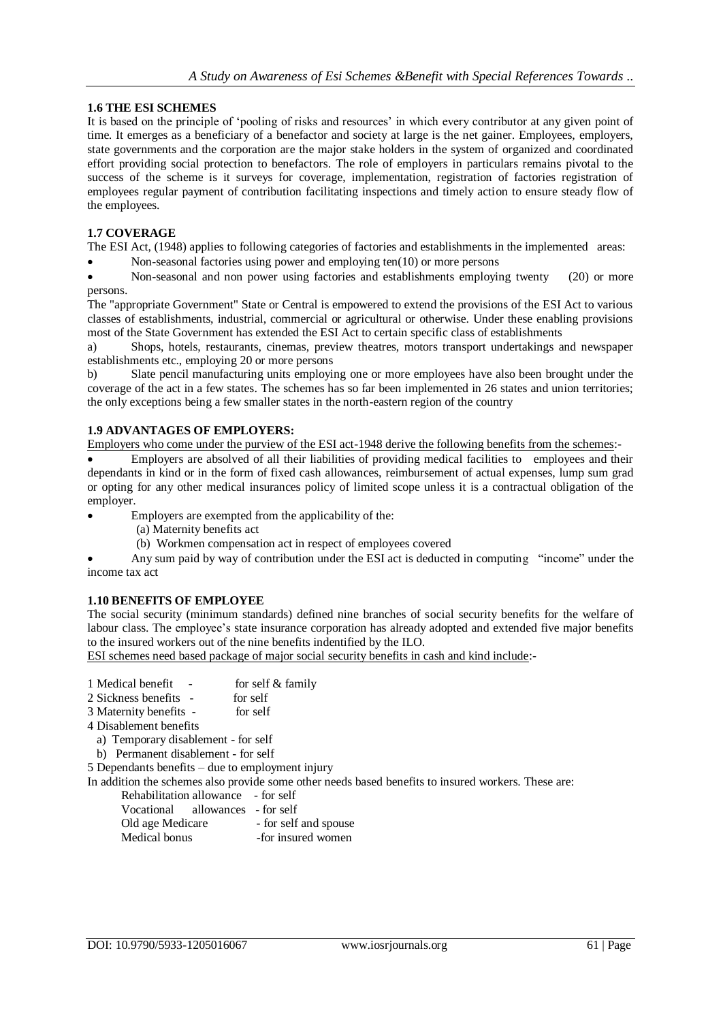## **1.6 THE ESI SCHEMES**

It is based on the principle of 'pooling of risks and resources' in which every contributor at any given point of time. It emerges as a beneficiary of a benefactor and society at large is the net gainer. Employees, employers, state governments and the corporation are the major stake holders in the system of organized and coordinated effort providing social protection to benefactors. The role of employers in particulars remains pivotal to the success of the scheme is it surveys for coverage, implementation, registration of factories registration of employees regular payment of contribution facilitating inspections and timely action to ensure steady flow of the employees.

## **1.7 COVERAGE**

The ESI Act, (1948) applies to following categories of factories and establishments in the implemented areas:

Non-seasonal factories using power and employing ten(10) or more persons

• Non-seasonal and non power using factories and establishments employing twenty (20) or more persons.

The "appropriate Government" State or Central is empowered to extend the provisions of the ESI Act to various classes of establishments, industrial, commercial or agricultural or otherwise. Under these enabling provisions most of the State Government has extended the ESI Act to certain specific class of establishments

a) Shops, hotels, restaurants, cinemas, preview theatres, motors transport undertakings and newspaper establishments etc., employing 20 or more persons

b) Slate pencil manufacturing units employing one or more employees have also been brought under the coverage of the act in a few states. The schemes has so far been implemented in 26 states and union territories; the only exceptions being a few smaller states in the north-eastern region of the country

## **1.9 ADVANTAGES OF EMPLOYERS:**

Employers who come under the purview of the ESI act-1948 derive the following benefits from the schemes:-

 Employers are absolved of all their liabilities of providing medical facilities to employees and their dependants in kind or in the form of fixed cash allowances, reimbursement of actual expenses, lump sum grad or opting for any other medical insurances policy of limited scope unless it is a contractual obligation of the employer.

Employers are exempted from the applicability of the:

- (a) Maternity benefits act
- (b) Workmen compensation act in respect of employees covered

 Any sum paid by way of contribution under the ESI act is deducted in computing "income" under the income tax act

## **1.10 BENEFITS OF EMPLOYEE**

The social security (minimum standards) defined nine branches of social security benefits for the welfare of labour class. The employee's state insurance corporation has already adopted and extended five major benefits to the insured workers out of the nine benefits indentified by the ILO.

ESI schemes need based package of major social security benefits in cash and kind include:-

- 1 Medical benefit for self & family
- 2 Sickness benefits for self
- 3 Maternity benefits for self
- 4 Disablement benefits

a) Temporary disablement - for self

- b) Permanent disablement for self
- 5 Dependants benefits due to employment injury
- In addition the schemes also provide some other needs based benefits to insured workers. These are:

| Rehabilitation allowance - for self |                       |
|-------------------------------------|-----------------------|
| Vocational allowances - for self    |                       |
| Old age Medicare                    | - for self and spouse |
| Medical bonus                       | -for insured women    |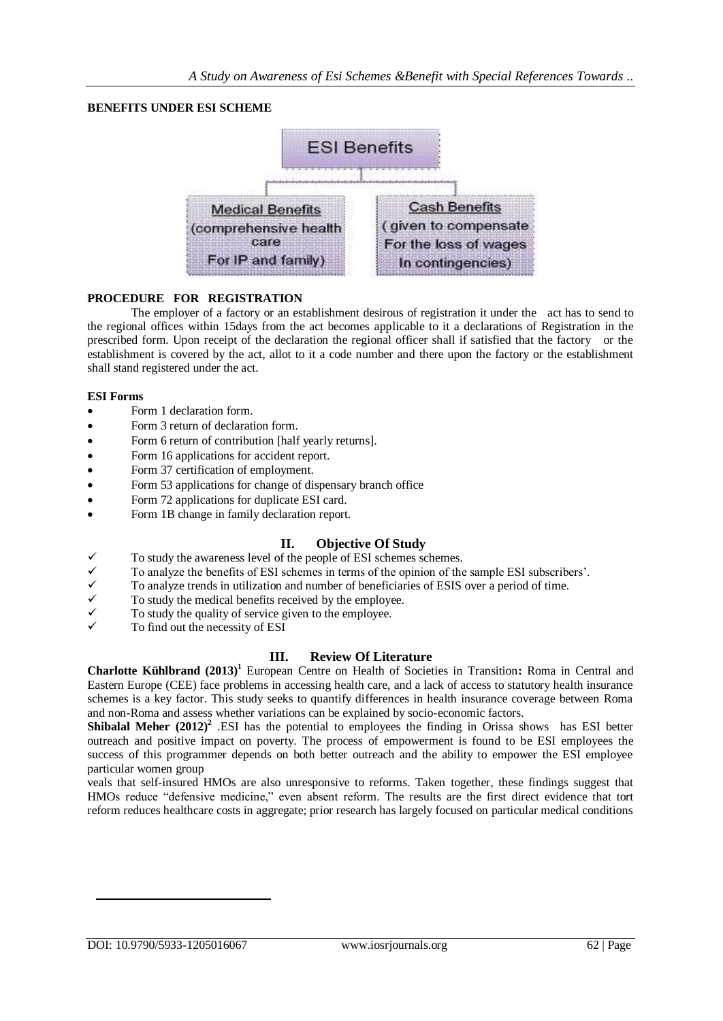## **BENEFITS UNDER ESI SCHEME**



#### **PROCEDURE FOR REGISTRATION**

The employer of a factory or an establishment desirous of registration it under the act has to send to the regional offices within 15days from the act becomes applicable to it a declarations of Registration in the prescribed form. Upon receipt of the declaration the regional officer shall if satisfied that the factory or the establishment is covered by the act, allot to it a code number and there upon the factory or the establishment shall stand registered under the act.

#### **ESI Forms**

- Form 1 declaration form.
- Form 3 return of declaration form.
- Form 6 return of contribution [half yearly returns].
- Form 16 applications for accident report.
- Form 37 certification of employment.
- Form 53 applications for change of dispensary branch office
- Form 72 applications for duplicate ESI card.
- Form 1B change in family declaration report.

## **II. Objective Of Study**

- To study the awareness level of the people of ESI schemes schemes.
- To analyze the benefits of ESI schemes in terms of the opinion of the sample ESI subscribers'.
- To analyze trends in utilization and number of beneficiaries of ESIS over a period of time.
- To study the medical benefits received by the employee.
- To study the quality of service given to the employee.
- To find out the necessity of ESI

## **III. Review Of Literature**

**Charlotte Kühlbrand (2013)<sup>1</sup>** European Centre on Health of Societies in Transition**:** Roma in Central and Eastern Europe (CEE) face problems in accessing health care, and a lack of access to statutory health insurance schemes is a key factor. This study seeks to quantify differences in health insurance coverage between Roma and non-Roma and assess whether variations can be explained by socio-economic factors.

**Shibalal Meher (2012)<sup>2</sup>** .ESI has the potential to employees the finding in Orissa shows has ESI better outreach and positive impact on poverty. The process of empowerment is found to be ESI employees the success of this programmer depends on both better outreach and the ability to empower the ESI employee particular women group

veals that self-insured HMOs are also unresponsive to reforms. Taken together, these findings suggest that HMOs reduce "defensive medicine," even absent reform. The results are the first direct evidence that tort reform reduces healthcare costs in aggregate; prior research has largely focused on particular medical conditions

 $\overline{a}$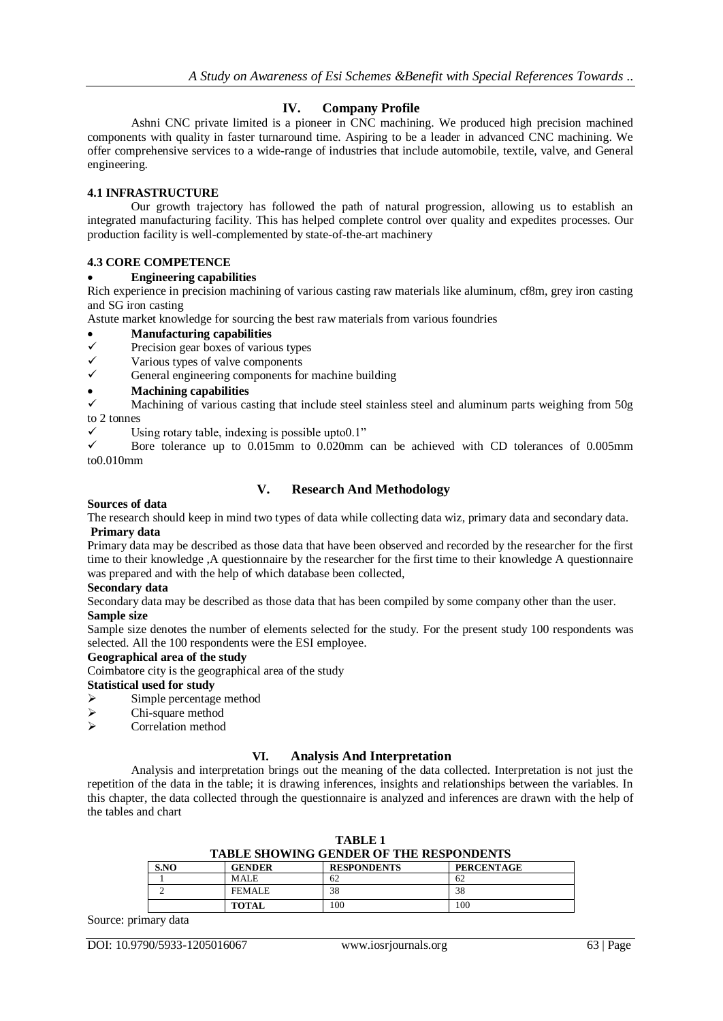# **IV. Company Profile**

Ashni CNC private limited is a pioneer in CNC machining. We produced high precision machined components with quality in faster turnaround time. Aspiring to be a leader in advanced CNC machining. We offer comprehensive services to a wide-range of industries that include automobile, textile, valve, and General engineering.

## **4.1 INFRASTRUCTURE**

Our growth trajectory has followed the path of natural progression, allowing us to establish an integrated manufacturing facility. This has helped complete control over quality and expedites processes. Our production facility is well-complemented by state-of-the-art machinery

## **4.3 CORE COMPETENCE**

## **Engineering capabilities**

Rich experience in precision machining of various casting raw materials like aluminum, cf8m, grey iron casting and SG iron casting

Astute market knowledge for sourcing the best raw materials from various foundries

- **Manufacturing capabilities**<br> **V** Precision gear boxes of various
- $\checkmark$  Precision gear boxes of various types<br> $\checkmark$  Various types of valve components
- $\checkmark$  Various types of valve components  $\checkmark$  General engineering components for
- General engineering components for machine building
- **Machining capabilities**

 Machining of various casting that include steel stainless steel and aluminum parts weighing from 50g to 2 tonnes

 $\checkmark$  Using rotary table, indexing is possible upto0.1"<br> $\checkmark$  Bore tolerance up to 0.015mm to 0.020mm

 Bore tolerance up to 0.015mm to 0.020mm can be achieved with CD tolerances of 0.005mm to0.010mm

# **V. Research And Methodology**

#### **Sources of data**

The research should keep in mind two types of data while collecting data wiz, primary data and secondary data. **Primary data**

Primary data may be described as those data that have been observed and recorded by the researcher for the first time to their knowledge ,A questionnaire by the researcher for the first time to their knowledge A questionnaire was prepared and with the help of which database been collected,

#### **Secondary data**

Secondary data may be described as those data that has been compiled by some company other than the user. **Sample size**

Sample size denotes the number of elements selected for the study. For the present study 100 respondents was selected. All the 100 respondents were the ESI employee.

#### **Geographical area of the study**

Coimbatore city is the geographical area of the study

# **Statistical used for study**

- $\triangleright$  Simple percentage method
- $\sum$  Chi-square method
- Correlation method

## **VI. Analysis And Interpretation**

Analysis and interpretation brings out the meaning of the data collected. Interpretation is not just the repetition of the data in the table; it is drawing inferences, insights and relationships between the variables. In this chapter, the data collected through the questionnaire is analyzed and inferences are drawn with the help of the tables and chart

| <b>TABLE SHOWING GENDER OF THE RESPONDENTS</b> |               |                    |                   |  |
|------------------------------------------------|---------------|--------------------|-------------------|--|
| S.NO                                           | <b>GENDER</b> | <b>RESPONDENTS</b> | <b>PERCENTAGE</b> |  |
|                                                | <b>MALE</b>   | 62                 | 62                |  |
|                                                | <b>FEMALE</b> | 38                 | 38                |  |
|                                                | TOTAL         | 100                | 100               |  |

**TABLE 1**

Source: primary data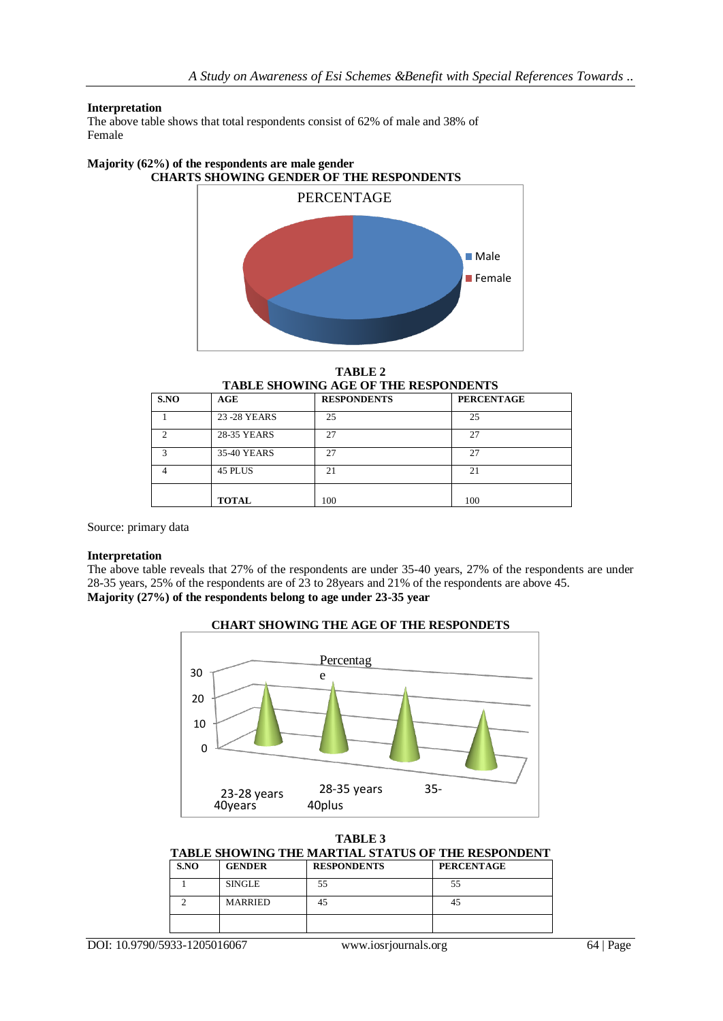## **Interpretation**

The above table shows that total respondents consist of 62% of male and 38% of Female

#### **Majority (62%) of the respondents are male gender CHARTS SHOWING GENDER OF THE RESPONDENTS**



**TABLE 2 TABLE SHOWING AGE OF THE RESPONDENTS**

| S.NO                    | AGE           | <b>RESPONDENTS</b> | <b>PERCENTAGE</b> |  |  |
|-------------------------|---------------|--------------------|-------------------|--|--|
|                         | 23 - 28 YEARS | 25                 | 25                |  |  |
| ◠                       | 28-35 YEARS   | 27                 | 27                |  |  |
| $\overline{\mathbf{c}}$ | 35-40 YEARS   | 27                 | 27                |  |  |
|                         | 45 PLUS       | 21                 | 21                |  |  |
|                         | <b>TOTAL</b>  | 100                | 100               |  |  |
|                         |               |                    |                   |  |  |

Source: primary data

#### **Interpretation**

The above table reveals that 27% of the respondents are under 35-40 years, 27% of the respondents are under 28-35 years, 25% of the respondents are of 23 to 28years and 21% of the respondents are above 45. **Majority (27%) of the respondents belong to age under 23-35 year**



| TABLE 3 |
|---------|
|---------|

|               |               |                    | TABLE SHOWING THE MARTIAL STATUS OF THE RESPONDENT |
|---------------|---------------|--------------------|----------------------------------------------------|
| $\sim$ $\sim$ | <b>ARNDED</b> | <b>DECROMBEMEN</b> | DED CENTLACE                                       |

| SNO | <b>GENDER</b>  | <b>RESPONDENTS</b> | <b>PERCENTAGE</b> |
|-----|----------------|--------------------|-------------------|
|     | <b>SINGLE</b>  | 55                 | 55                |
|     | <b>MARRIED</b> | 45                 | 45                |
|     |                |                    |                   |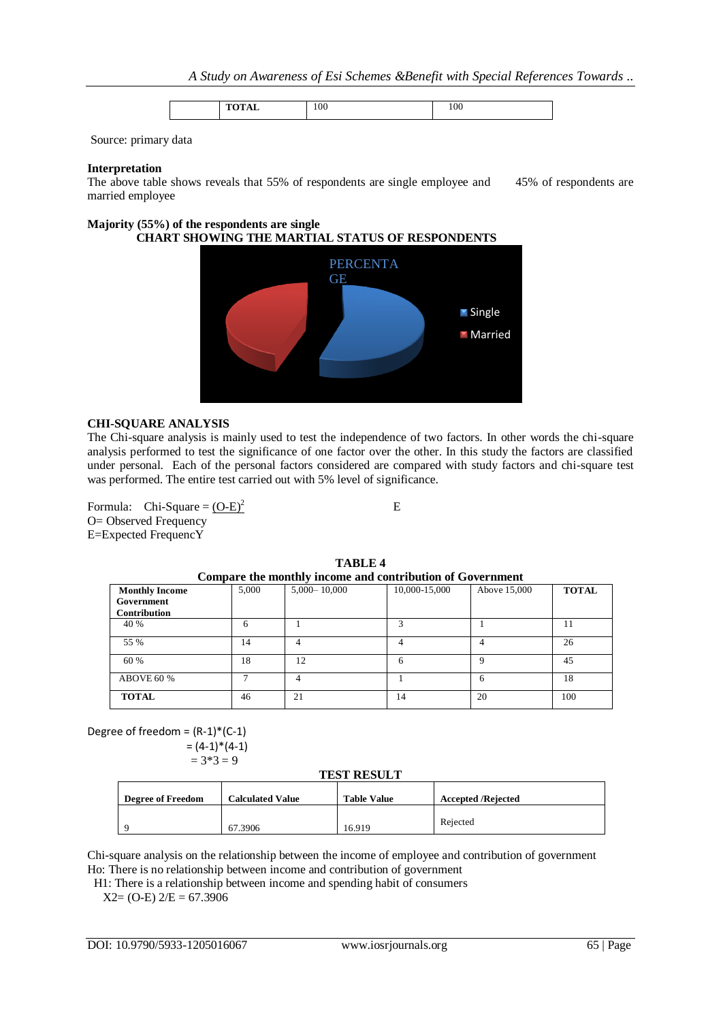|  | 106<br>- - - |  |
|--|--------------|--|
|--|--------------|--|

Source: primary data

#### **Interpretation**

The above table shows reveals that 55% of respondents are single employee and 45% of respondents are married employee

#### **Majority (55%) of the respondents are single CHART SHOWING THE MARTIAL STATUS OF RESPONDENTS**



#### **CHI-SQUARE ANALYSIS**

The Chi-square analysis is mainly used to test the independence of two factors. In other words the chi-square analysis performed to test the significance of one factor over the other. In this study the factors are classified under personal. Each of the personal factors considered are compared with study factors and chi-square test was performed. The entire test carried out with 5% level of significance.

Formula: Chi-Square =  $(O-E)^2$ O= Observed Frequency E=Expected FrequencY

E

| TABLE 4                                                   |       |                  |               |              |              |
|-----------------------------------------------------------|-------|------------------|---------------|--------------|--------------|
| Compare the monthly income and contribution of Government |       |                  |               |              |              |
| <b>Monthly Income</b><br>Government<br>Contribution       | 5.000 | $5,000 - 10,000$ | 10,000-15,000 | Above 15,000 | <b>TOTAL</b> |
| 40 %                                                      | 6     |                  |               |              |              |
| 55 %                                                      | 14    |                  |               |              | 26           |
| 60 %                                                      | 18    | 12               | 6             |              | 45           |
| ABOVE 60 %                                                |       |                  |               | 6            | 18           |

**TOTAL** 46 21 14 20 100

# **TABLE 4**

Degree of freedom =  $(R-1)*(C-1)$  $= (4-1)*(4-1)$ 

 $= 3*3 = 9$ 

#### **TEST RESULT**

| <b>Degree of Freedom</b> | <b>Calculated Value</b> | <b>Table Value</b> | <b>Accepted /Rejected</b> |
|--------------------------|-------------------------|--------------------|---------------------------|
|                          | 67.3906                 | 16.919             | Rejected                  |

Chi-square analysis on the relationship between the income of employee and contribution of government Ho: There is no relationship between income and contribution of government

H1: There is a relationship between income and spending habit of consumers

 $X2=(O-E)$   $2/E = 67.3906$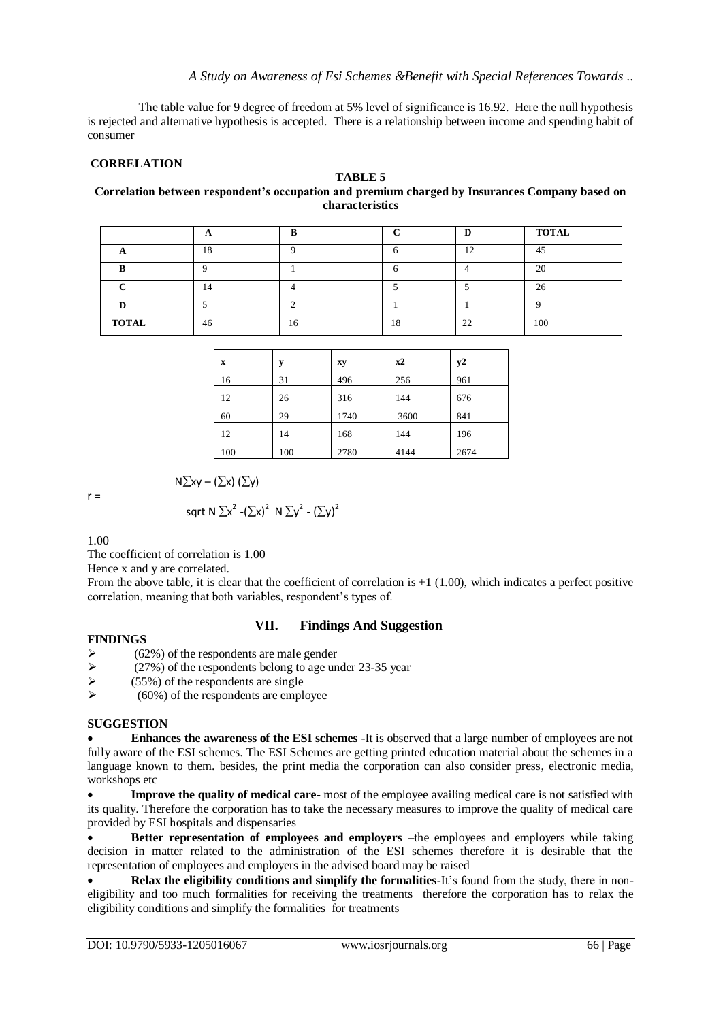The table value for 9 degree of freedom at 5% level of significance is 16.92. Here the null hypothesis is rejected and alternative hypothesis is accepted. There is a relationship between income and spending habit of consumer

## **CORRELATION**

## **TABLE 5**

#### **Correlation between respondent's occupation and premium charged by Insurances Company based on characteristics**

|              | Ħ  |    |    |    | <b>TOTAL</b> |
|--------------|----|----|----|----|--------------|
|              | 18 |    |    | 12 | 45           |
|              |    |    |    |    | 20           |
|              | 14 |    |    |    | 26           |
|              |    |    |    |    |              |
| <b>TOTAL</b> | 46 | 16 | 18 | 22 | 100          |

| $\mathbf x$ | V   | xy   | $x^2$ | y2   |
|-------------|-----|------|-------|------|
| 16          | 31  | 496  | 256   | 961  |
| 12          | 26  | 316  | 144   | 676  |
| 60          | 29  | 1740 | 3600  | 841  |
| 12          | 14  | 168  | 144   | 196  |
| 100         | 100 | 2780 | 4144  | 2674 |

 $r =$ 

$$
N\Sigma xy - (\Sigma x) (\Sigma y)
$$

sqrt 
$$
N \Sigma x^2 - (\Sigma x)^2 N \Sigma y^2 - (\Sigma y)^2
$$

1.00

The coefficient of correlation is 1.00

Hence x and y are correlated.

From the above table, it is clear that the coefficient of correlation is  $+1$  (1.00), which indicates a perfect positive correlation, meaning that both variables, respondent's types of.

## **VII. Findings And Suggestion**

#### **FINDINGS**

- (62%) of the respondents are male gender
- $\geq$  (27%) of the respondents belong to age under 23-35 year
- $\triangleright$  (55%) of the respondents are single
- (60%) of the respondents are employee

# **SUGGESTION**

 **Enhances the awareness of the ESI schemes** -It is observed that a large number of employees are not fully aware of the ESI schemes. The ESI Schemes are getting printed education material about the schemes in a language known to them. besides, the print media the corporation can also consider press, electronic media, workshops etc

 **Improve the quality of medical care-** most of the employee availing medical care is not satisfied with its quality. Therefore the corporation has to take the necessary measures to improve the quality of medical care provided by ESI hospitals and dispensaries

**•** Better representation of employees and employers -the employees and employers while taking decision in matter related to the administration of the ESI schemes therefore it is desirable that the representation of employees and employers in the advised board may be raised

 **Relax the eligibility conditions and simplify the formalities-**It's found from the study, there in noneligibility and too much formalities for receiving the treatments therefore the corporation has to relax the eligibility conditions and simplify the formalities for treatments